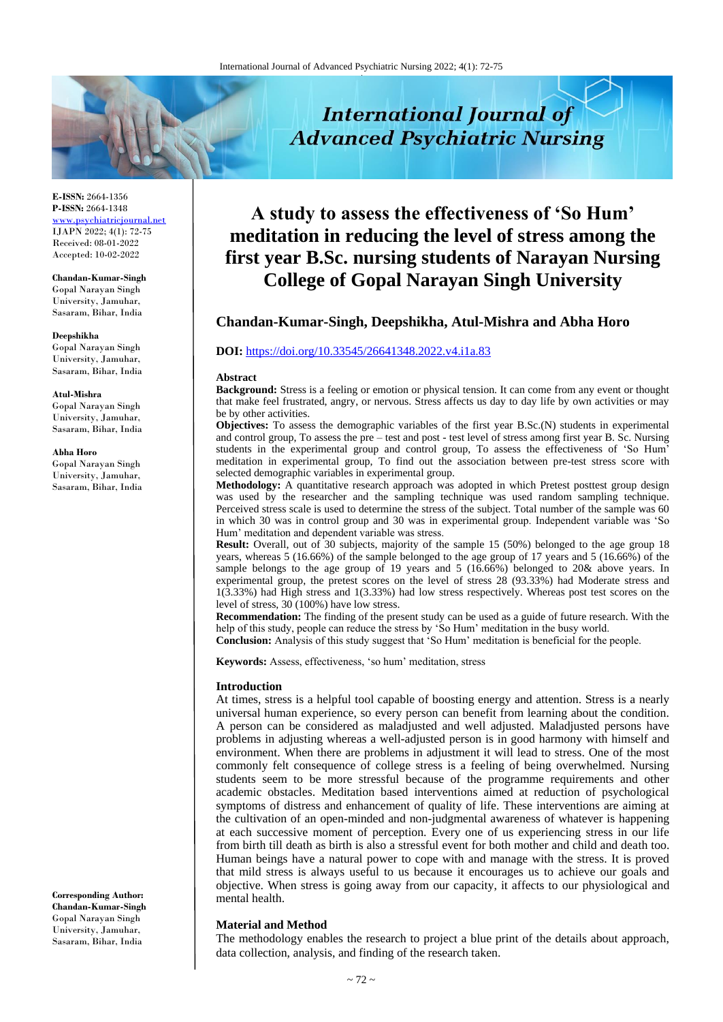

**E-ISSN:** 2664-1356 **P-ISSN:** 2664-1348 <www.psychiatricjournal.net> IJAPN 2022; 4(1): 72-75 Received: 08-01-2022 Accepted: 10-02-2022

#### **Chandan-Kumar-Singh** Gopal Narayan Singh

University, Jamuhar, Sasaram, Bihar, India

#### **Deepshikha**

Gopal Narayan Singh University, Jamuhar, Sasaram, Bihar, India

#### **Atul-Mishra**

Gopal Narayan Singh University, Jamuhar, Sasaram, Bihar, India

#### **Abha Horo**

Gopal Narayan Singh University, Jamuhar, Sasaram, Bihar, India

**Corresponding Author: Chandan-Kumar-Singh** Gopal Narayan Singh University, Jamuhar, Sasaram, Bihar, India

# **A study to assess the effectiveness of 'So Hum' meditation in reducing the level of stress among the first year B.Sc. nursing students of Narayan Nursing College of Gopal Narayan Singh University**

**International Journal of** 

# **Chandan-Kumar-Singh, Deepshikha, Atul-Mishra and Abha Horo**

#### **DOI:** <https://doi.org/10.33545/26641348.2022.v4.i1a.83>

#### **Abstract**

**Background:** Stress is a feeling or emotion or physical tension. It can come from any event or thought that make feel frustrated, angry, or nervous. Stress affects us day to day life by own activities or may be by other activities.

**Objectives:** To assess the demographic variables of the first year B.Sc.(N) students in experimental and control group, To assess the pre – test and post - test level of stress among first year B. Sc. Nursing students in the experimental group and control group, To assess the effectiveness of 'So Hum' meditation in experimental group, To find out the association between pre-test stress score with selected demographic variables in experimental group.

Methodology: A quantitative research approach was adopted in which Pretest posttest group design was used by the researcher and the sampling technique was used random sampling technique. Perceived stress scale is used to determine the stress of the subject. Total number of the sample was 60 in which 30 was in control group and 30 was in experimental group. Independent variable was 'So Hum' meditation and dependent variable was stress.

**Result:** Overall, out of 30 subjects, majority of the sample 15 (50%) belonged to the age group 18 years, whereas 5 (16.66%) of the sample belonged to the age group of 17 years and 5 (16.66%) of the sample belongs to the age group of 19 years and 5 (16.66%) belonged to 20& above years. In experimental group, the pretest scores on the level of stress 28 (93.33%) had Moderate stress and 1(3.33%) had High stress and 1(3.33%) had low stress respectively. Whereas post test scores on the level of stress, 30 (100%) have low stress.

**Recommendation:** The finding of the present study can be used as a guide of future research. With the help of this study, people can reduce the stress by 'So Hum' meditation in the busy world.

**Conclusion:** Analysis of this study suggest that 'So Hum' meditation is beneficial for the people.

**Keywords:** Assess, effectiveness, 'so hum' meditation, stress

#### **Introduction**

At times, stress is a helpful tool capable of boosting energy and attention. Stress is a nearly universal human experience, so every person can benefit from learning about the condition. A person can be considered as maladjusted and well adjusted. Maladjusted persons have problems in adjusting whereas a well-adjusted person is in good harmony with himself and environment. When there are problems in adjustment it will lead to stress. One of the most commonly felt consequence of college stress is a feeling of being overwhelmed. Nursing students seem to be more stressful because of the programme requirements and other academic obstacles. Meditation based interventions aimed at reduction of psychological symptoms of distress and enhancement of quality of life. These interventions are aiming at the cultivation of an open-minded and non-judgmental awareness of whatever is happening at each successive moment of perception. Every one of us experiencing stress in our life from birth till death as birth is also a stressful event for both mother and child and death too. Human beings have a natural power to cope with and manage with the stress. It is proved that mild stress is always useful to us because it encourages us to achieve our goals and objective. When stress is going away from our capacity, it affects to our physiological and mental health.

#### **Material and Method**

The methodology enables the research to project a blue print of the details about approach, data collection, analysis, and finding of the research taken.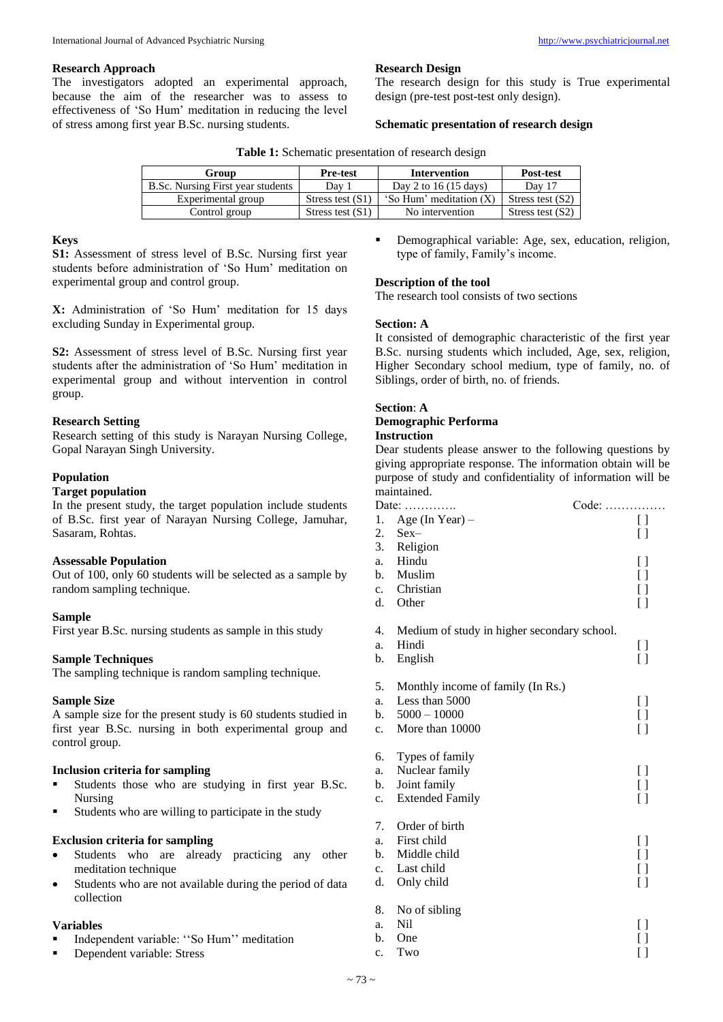#### **Research Approach**

The investigators adopted an experimental approach, because the aim of the researcher was to assess to effectiveness of 'So Hum' meditation in reducing the level of stress among first year B.Sc. nursing students.

## **Research Design**

The research design for this study is True experimental design (pre-test post-test only design).

#### **Schematic presentation of research design**

|  |  | Table 1: Schematic presentation of research design |  |  |
|--|--|----------------------------------------------------|--|--|
|--|--|----------------------------------------------------|--|--|

| Group                             | <b>Pre-test</b>    | <b>Intervention</b>            | <b>Post-test</b>   |  |
|-----------------------------------|--------------------|--------------------------------|--------------------|--|
| B.Sc. Nursing First year students | Day 1              | Day 2 to $16(15 \text{ days})$ | Day 17             |  |
| Experimental group                | Stress test $(S1)$ | 'So Hum' meditation $(X)$      | Stress test $(S2)$ |  |
| Control group                     | Stress test $(S1)$ | No intervention                | Stress test $(S2)$ |  |

## **Keys**

**S1:** Assessment of stress level of B.Sc. Nursing first year students before administration of 'So Hum' meditation on experimental group and control group.

**X:** Administration of 'So Hum' meditation for 15 days excluding Sunday in Experimental group.

**S2:** Assessment of stress level of B.Sc. Nursing first year students after the administration of 'So Hum' meditation in experimental group and without intervention in control group.

# **Research Setting**

Research setting of this study is Narayan Nursing College, Gopal Narayan Singh University.

# **Population**

## **Target population**

In the present study, the target population include students of B.Sc. first year of Narayan Nursing College, Jamuhar, Sasaram, Rohtas.

# **Assessable Population**

Out of 100, only 60 students will be selected as a sample by random sampling technique.

# **Sample**

First year B.Sc. nursing students as sample in this study

# **Sample Techniques**

The sampling technique is random sampling technique.

# **Sample Size**

A sample size for the present study is 60 students studied in first year B.Sc. nursing in both experimental group and control group.

#### **Inclusion criteria for sampling**

- Students those who are studying in first year B.Sc. Nursing
- Students who are willing to participate in the study

# **Exclusion criteria for sampling**

- Students who are already practicing any other meditation technique
- Students who are not available during the period of data collection

#### **Variables**

- Independent variable: ''So Hum'' meditation
- Dependent variable: Stress

 Demographical variable: Age, sex, education, religion, type of family, Family's income.

# **Description of the tool**

The research tool consists of two sections

## **Section: A**

It consisted of demographic characteristic of the first year B.Sc. nursing students which included, Age, sex, religion, Higher Secondary school medium, type of family, no. of Siblings, order of birth, no. of friends.

# **Section**: **A**

# **Demographic Performa**

#### **Instruction**

Dear students please answer to the following questions by giving appropriate response. The information obtain will be purpose of study and confidentiality of information will be maintained.

|             | Date: $\dots$                               | $Code: \ldots$     |
|-------------|---------------------------------------------|--------------------|
| 1.          | Age (In Year) $-$                           | $\Box$             |
| 2.          | $Sex-$                                      | $\Box$             |
| 3.          | Religion                                    |                    |
| a.          | Hindu                                       | [ ]                |
| b.          | Muslim                                      | []                 |
| $c_{\cdot}$ | Christian                                   | []                 |
| d.          | Other                                       | []                 |
|             |                                             |                    |
| 4.          | Medium of study in higher secondary school. |                    |
| a.          | Hindi                                       | []                 |
| b.          | English                                     | $\left[ \ \right]$ |
| 5.          | Monthly income of family (In Rs.)           |                    |
| a.          | Less than 5000                              | []                 |
| b.          | $5000 - 10000$                              | []                 |
| c.          | More than 10000                             | $\left[ \ \right]$ |
|             |                                             |                    |
| 6.          | Types of family                             |                    |
| a.          | Nuclear family                              | $\left[ \ \right]$ |
| b.          | Joint family                                | []                 |
| c.          | <b>Extended Family</b>                      | []                 |
|             |                                             |                    |
| 7.          | Order of birth                              |                    |
| a.          | First child                                 | []                 |
| b.          | Middle child                                | []                 |
| c.          | Last child                                  | []                 |
| d.          | Only child                                  | [ ]                |
| 8.          | No of sibling                               |                    |
| a.          | Nil                                         | []                 |
| b.          | One                                         | [ ]                |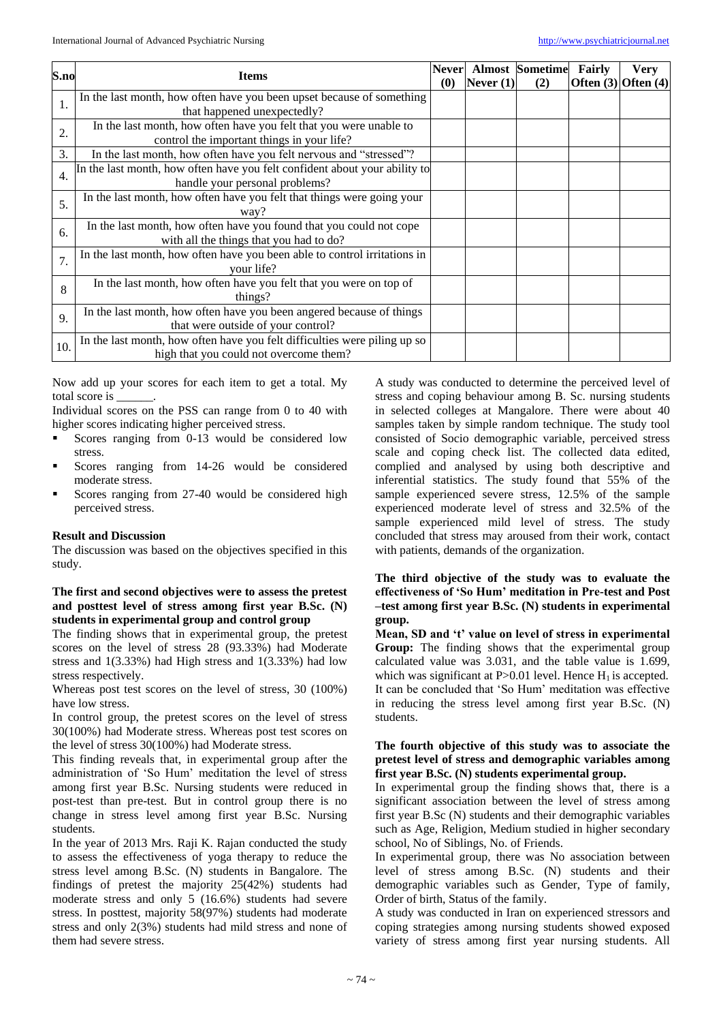| S.no             | <b>Items</b>                                                                                                        | <b>Never</b><br>(0) | Never $(1)$ | <b>Almost Sometime</b><br>(2) | Fairly<br>Often $(3)$ Often $(4)$ | <b>Very</b> |
|------------------|---------------------------------------------------------------------------------------------------------------------|---------------------|-------------|-------------------------------|-----------------------------------|-------------|
| 1.               | In the last month, how often have you been upset because of something<br>that happened unexpectedly?                |                     |             |                               |                                   |             |
| 2.               | In the last month, how often have you felt that you were unable to<br>control the important things in your life?    |                     |             |                               |                                   |             |
| 3.               | In the last month, how often have you felt nervous and "stressed"?                                                  |                     |             |                               |                                   |             |
| $\overline{4}$ . | In the last month, how often have you felt confident about your ability to<br>handle your personal problems?        |                     |             |                               |                                   |             |
| 5.               | In the last month, how often have you felt that things were going your<br>way?                                      |                     |             |                               |                                   |             |
| 6.               | In the last month, how often have you found that you could not cope<br>with all the things that you had to do?      |                     |             |                               |                                   |             |
| 7.               | In the last month, how often have you been able to control irritations in<br>vour life?                             |                     |             |                               |                                   |             |
| 8                | In the last month, how often have you felt that you were on top of<br>things?                                       |                     |             |                               |                                   |             |
| 9.               | In the last month, how often have you been angered because of things<br>that were outside of your control?          |                     |             |                               |                                   |             |
| 10.              | In the last month, how often have you felt difficulties were piling up so<br>high that you could not overcome them? |                     |             |                               |                                   |             |

Now add up your scores for each item to get a total. My total score is \_\_\_\_\_\_.

Individual scores on the PSS can range from 0 to 40 with higher scores indicating higher perceived stress.

- Scores ranging from 0-13 would be considered low stress.
- Scores ranging from 14-26 would be considered moderate stress.
- Scores ranging from 27-40 would be considered high perceived stress.

#### **Result and Discussion**

The discussion was based on the objectives specified in this study.

## **The first and second objectives were to assess the pretest and posttest level of stress among first year B.Sc. (N) students in experimental group and control group**

The finding shows that in experimental group, the pretest scores on the level of stress 28 (93.33%) had Moderate stress and 1(3.33%) had High stress and 1(3.33%) had low stress respectively.

Whereas post test scores on the level of stress, 30 (100%) have low stress.

In control group, the pretest scores on the level of stress 30(100%) had Moderate stress. Whereas post test scores on the level of stress 30(100%) had Moderate stress.

This finding reveals that, in experimental group after the administration of 'So Hum' meditation the level of stress among first year B.Sc. Nursing students were reduced in post-test than pre-test. But in control group there is no change in stress level among first year B.Sc. Nursing students.

In the year of 2013 Mrs. Raji K. Rajan conducted the study to assess the effectiveness of yoga therapy to reduce the stress level among B.Sc. (N) students in Bangalore. The findings of pretest the majority 25(42%) students had moderate stress and only 5 (16.6%) students had severe stress. In posttest, majority 58(97%) students had moderate stress and only 2(3%) students had mild stress and none of them had severe stress.

A study was conducted to determine the perceived level of stress and coping behaviour among B. Sc. nursing students in selected colleges at Mangalore. There were about 40 samples taken by simple random technique. The study tool consisted of Socio demographic variable, perceived stress scale and coping check list. The collected data edited, complied and analysed by using both descriptive and inferential statistics. The study found that 55% of the sample experienced severe stress, 12.5% of the sample experienced moderate level of stress and 32.5% of the sample experienced mild level of stress. The study concluded that stress may aroused from their work, contact with patients, demands of the organization.

# **The third objective of the study was to evaluate the effectiveness of 'So Hum' meditation in Pre-test and Post –test among first year B.Sc. (N) students in experimental group.**

**Mean, SD and 't' value on level of stress in experimental Group:** The finding shows that the experimental group calculated value was 3.031, and the table value is 1.699, which was significant at  $P > 0.01$  level. Hence  $H_1$  is accepted. It can be concluded that 'So Hum' meditation was effective in reducing the stress level among first year B.Sc. (N) students.

#### **The fourth objective of this study was to associate the pretest level of stress and demographic variables among first year B.Sc. (N) students experimental group.**

In experimental group the finding shows that, there is a significant association between the level of stress among first year B.Sc (N) students and their demographic variables such as Age, Religion, Medium studied in higher secondary school, No of Siblings, No. of Friends.

In experimental group, there was No association between level of stress among B.Sc. (N) students and their demographic variables such as Gender, Type of family, Order of birth, Status of the family.

A study was conducted in Iran on experienced stressors and coping strategies among nursing students showed exposed variety of stress among first year nursing students. All